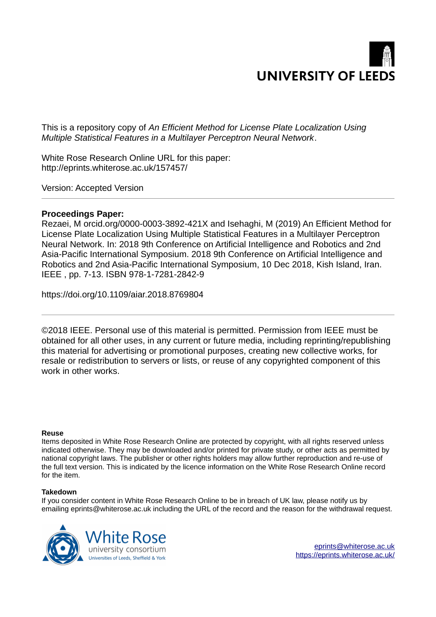

This is a repository copy of *An Efficient Method for License Plate Localization Using Multiple Statistical Features in a Multilayer Perceptron Neural Network*.

White Rose Research Online URL for this paper: http://eprints.whiterose.ac.uk/157457/

Version: Accepted Version

## **Proceedings Paper:**

Rezaei, M orcid.org/0000-0003-3892-421X and Isehaghi, M (2019) An Efficient Method for License Plate Localization Using Multiple Statistical Features in a Multilayer Perceptron Neural Network. In: 2018 9th Conference on Artificial Intelligence and Robotics and 2nd Asia-Pacific International Symposium. 2018 9th Conference on Artificial Intelligence and Robotics and 2nd Asia-Pacific International Symposium, 10 Dec 2018, Kish Island, Iran. IEEE , pp. 7-13. ISBN 978-1-7281-2842-9

https://doi.org/10.1109/aiar.2018.8769804

©2018 IEEE. Personal use of this material is permitted. Permission from IEEE must be obtained for all other uses, in any current or future media, including reprinting/republishing this material for advertising or promotional purposes, creating new collective works, for resale or redistribution to servers or lists, or reuse of any copyrighted component of this work in other works.

## **Reuse**

Items deposited in White Rose Research Online are protected by copyright, with all rights reserved unless indicated otherwise. They may be downloaded and/or printed for private study, or other acts as permitted by national copyright laws. The publisher or other rights holders may allow further reproduction and re-use of the full text version. This is indicated by the licence information on the White Rose Research Online record for the item.

## **Takedown**

If you consider content in White Rose Research Online to be in breach of UK law, please notify us by emailing eprints@whiterose.ac.uk including the URL of the record and the reason for the withdrawal request.



[eprints@whiterose.ac.uk](mailto:eprints@whiterose.ac.uk) <https://eprints.whiterose.ac.uk/>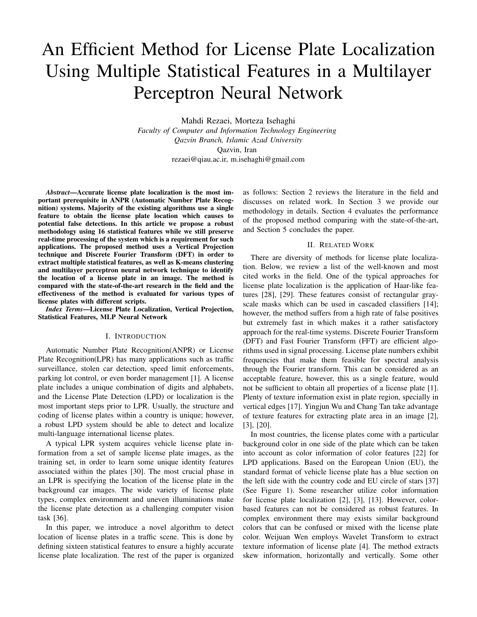# An Efficient Method for License Plate Localization Using Multiple Statistical Features in a Multilayer Perceptron Neural Network

Mahdi Rezaei, Morteza Isehaghi *Faculty of Computer and Information Technology Engineering Qazvin Branch, Islamic Azad University* Qazvin, Iran rezaei@qiau.ac.ir, m.isehaghi@gmail.com

*Abstract*—Accurate license plate localization is the most important prerequisite in ANPR (Automatic Number Plate Recognition) systems. Majority of the existing algorithms use a single feature to obtain the license plate location which causes to potential false detections. In this article we propose a robust methodology using 16 statistical features while we still preserve real-time processing of the system which is a requirement for such applications. The proposed method uses a Vertical Projection technique and Discrete Fourier Transform (DFT) in order to extract multiple statistical features, as well as K-means clustering and multilayer perceptron neural network technique to identify the location of a license plate in an image. The method is compared with the state-of-the-art research in the field and the effectiveness of the method is evaluated for various types of license plates with different scripts.

*Index Terms*—License Plate Localization, Vertical Projection, Statistical Features, MLP Neural Network

#### I. INTRODUCTION

Automatic Number Plate Recognition(ANPR) or License Plate Recognition(LPR) has many applications such as traffic surveillance, stolen car detection, speed limit enforcements, parking lot control, or even border management [1]. A license plate includes a unique combination of digits and alphabets, and the License Plate Detection (LPD) or localization is the most important steps prior to LPR. Usually, the structure and coding of license plates within a country is unique; however, a robust LPD system should be able to detect and localize multi-language international license plates.

A typical LPR system acquires vehicle license plate information from a set of sample license plate images, as the training set, in order to learn some unique identity features associated within the plates [30]. The most crucial phase in an LPR is specifying the location of the license plate in the background car images. The wide variety of license plate types, complex environment and uneven illuminations make the license plate detection as a challenging computer vision task [36].

In this paper, we introduce a novel algorithm to detect location of license plates in a traffic scene. This is done by defining sixteen statistical features to ensure a highly accurate license plate localization. The rest of the paper is organized as follows: Section 2 reviews the literature in the field and discusses on related work. In Section 3 we provide our methodology in details. Section 4 evaluates the performance of the proposed method comparing with the state-of-the-art, and Section 5 concludes the paper.

## II. RELATED WORK

There are diversity of methods for license plate localization. Below, we review a list of the well-known and most cited works in the field. One of the typical approaches for license plate localization is the application of Haar-like features [28], [29]. These features consist of rectangular grayscale masks which can be used in cascaded classifiers [14]; however, the method suffers from a high rate of false positives but extremely fast in which makes it a rather satisfactory approach for the real-time systems. Discrete Fourier Transform (DFT) and Fast Fourier Transform (FFT) are efficient algorithms used in signal processing. License plate numbers exhibit frequencies that make them feasible for spectral analysis through the Fourier transform. This can be considered as an acceptable feature, however, this as a single feature, would not be sufficient to obtain all properties of a license plate [1]. Plenty of texture information exist in plate region, specially in vertical edges [17]. Yingjun Wu and Chang Tan take advantage of texture features for extracting plate area in an image [2], [3], [20].

In most countries, the license plates come with a particular background color in one side of the plate which can be taken into account as color information of color features [22] for LPD applications. Based on the European Union (EU), the standard format of vehicle license plate has a blue section on the left side with the country code and EU circle of stars [37] (See Figure 1). Some researcher utilize color information for license plate localization [2], [3], [13]. However, colorbased features can not be considered as robust features. In complex environment there may exists similar background colors that can be confused or mixed with the license plate color. Weijuan Wen employs Wavelet Transform to extract texture information of license plate [4]. The method extracts skew information, horizontally and vertically. Some other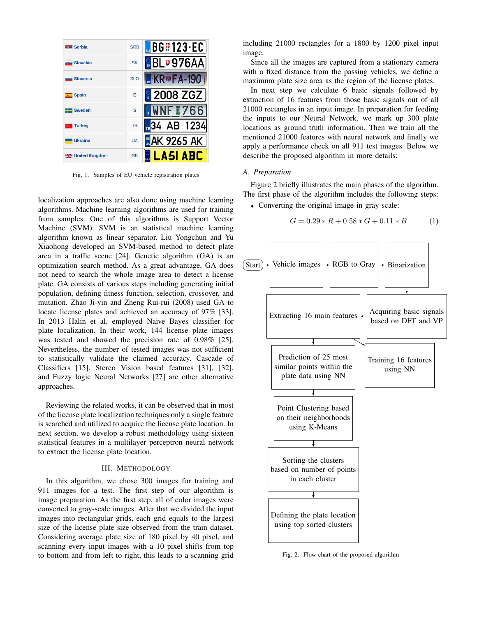| serbia                      | <b>SRB</b>              | $\blacksquare$ BG#123.EC |
|-----------------------------|-------------------------|--------------------------|
| <b>King Slovakia</b>        | <b>SK</b>               | BL <b>U976AA</b>         |
| Slovenia                    | <b>SLO</b>              | <b>KR</b> UFA-190        |
| Spain                       | Ė                       | 2008 ZGZ                 |
| Sweden                      | $\overline{\mathbf{s}}$ | WNF <sub>m7</sub>        |
| <b>c</b> Turkey             | <b>TR</b>               | $R34$ AB 1234            |
| <b>Ukraine</b>              | UA                      | <b>AK 9265 AK</b>        |
| <b>BREAD United Kingdom</b> | <b>GB</b>               | <b>LA5I ABC</b>          |

Fig. 1. Samples of EU vehicle registration plates

localization approaches are also done using machine learning algorithms. Machine learning algorithms are used for training from samples. One of this algorithms is Support Vector Machine (SVM). SVM is an statistical machine learning algorithm known as linear separator. Liu Yongchun and Yu Xiaohong developed an SVM-based method to detect plate area in a traffic scene [24]. Genetic algorithm (GA) is an optimization search method. As a great advantage, GA does not need to search the whole image area to detect a license plate. GA consists of various steps including generating initial population, defining fitness function, selection, crossover, and mutation. Zhao Ji-yin and Zheng Rui-rui (2008) used GA to locate license plates and achieved an accuracy of 97% [33]. In 2013 Halin et al. employed Naive Bayes classifier for plate localization. In their work, 144 license plate images was tested and showed the precision rate of 0.98% [25]. Nevertheless, the number of tested images was not sufficient to statistically validate the claimed accuracy. Cascade of Classifiers [15], Stereo Vision based features [31], [32], and Fuzzy logic Neural Networks [27] are other alternative approaches.

Reviewing the related works, it can be observed that in most of the license plate localization techniques only a single feature is searched and utilized to acquire the license plate location. In next section, we develop a robust methodology using sixteen statistical features in a multilayer perceptron neural network to extract the license plate location.

## III. METHODOLOGY

In this algorithm, we chose 300 images for training and 911 images for a test. The first step of our algorithm is image preparation. As the first step, all of color images were converted to gray-scale images. After that we divided the input images into rectangular grids, each grid equals to the largest size of the license plate size observed from the train dataset. Considering average plate size of 180 pixel by 40 pixel, and scanning every input images with a 10 pixel shifts from top to bottom and from left to right, this leads to a scanning grid

including 21000 rectangles for a 1800 by 1200 pixel input image.

Since all the images are captured from a stationary camera with a fixed distance from the passing vehicles, we define a maximum plate size area as the region of the license plates.

In next step we calculate 6 basic signals followed by extraction of 16 features from those basic signals out of all 21000 rectangles in an input image. In preparation for feeding the inputs to our Neural Network, we mark up 300 plate locations as ground truth information. Then we train all the mentioned 21000 features with neural network and finally we apply a performance check on all 911 test images. Below we describe the proposed algorithm in more details:

## *A. Preparation*

Figure 2 briefly illustrates the main phases of the algorithm. The first phase of the algorithm includes the following steps:

• Converting the original image in gray scale:

$$
G = 0.29 * R + 0.58 * G + 0.11 * B \tag{1}
$$



Fig. 2. Flow chart of the proposed algorithm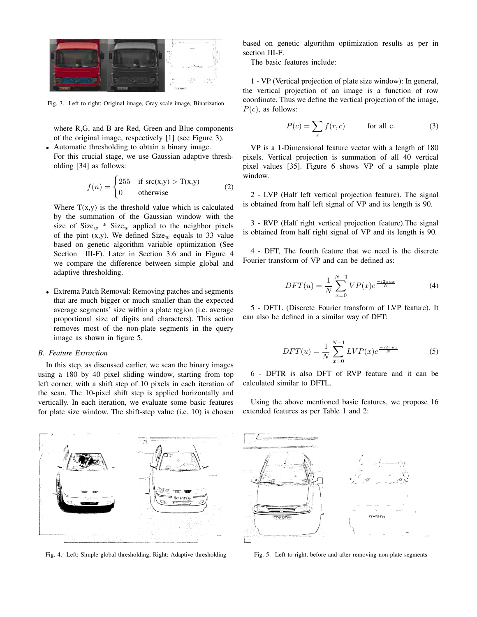

Fig. 3. Left to right: Original image, Gray scale image, Binarization

where R,G, and B are Red, Green and Blue components of the original image, respectively [1] (see Figure 3).

• Automatic thresholding to obtain a binary image. For this crucial stage, we use Gaussian adaptive thresholding [34] as follows:

$$
f(n) = \begin{cases} 255 & \text{if } \text{src}(x, y) > T(x, y) \\ 0 & \text{otherwise} \end{cases}
$$
 (2)

Where  $T(x,y)$  is the threshold value which is calculated by the summation of the Gaussian window with the size of  $Size_w * Size_w$  applied to the neighbor pixels of the pint (x,y). We defined  $Size_w$  equals to 33 value based on genetic algorithm variable optimization (See Section III-F). Later in Section 3.6 and in Figure 4 we compare the difference between simple global and adaptive thresholding.

• Extrema Patch Removal: Removing patches and segments that are much bigger or much smaller than the expected average segments' size within a plate region (i.e. average proportional size of digits and characters). This action removes most of the non-plate segments in the query image as shown in figure 5.

#### *B. Feature Extraction*

In this step, as discussed earlier, we scan the binary images using a 180 by 40 pixel sliding window, starting from top left corner, with a shift step of 10 pixels in each iteration of the scan. The 10-pixel shift step is applied horizontally and vertically. In each iteration, we evaluate some basic features for plate size window. The shift-step value (i.e. 10) is chosen

based on genetic algorithm optimization results as per in section III-F.

The basic features include:

1 - VP (Vertical projection of plate size window): In general, the vertical projection of an image is a function of row coordinate. Thus we define the vertical projection of the image,  $P(c)$ , as follows:

$$
P(c) = \sum_{r} f(r, c) \qquad \text{for all } c. \tag{3}
$$

VP is a 1-Dimensional feature vector with a length of 180 pixels. Vertical projection is summation of all 40 vertical pixel values [35]. Figure 6 shows VP of a sample plate window.

2 - LVP (Half left vertical projection feature). The signal is obtained from half left signal of VP and its length is 90.

3 - RVP (Half right vertical projection feature).The signal is obtained from half right signal of VP and its length is 90.

4 - DFT, The fourth feature that we need is the discrete Fourier transform of VP and can be defined as:

$$
DFT(u) = \frac{1}{N} \sum_{x=0}^{N-1} VP(x)e^{\frac{-i2\pi ux}{N}}
$$
 (4)

5 - DFTL (Discrete Fourier transform of LVP feature). It can also be defined in a similar way of DFT:

$$
DFT(u) = \frac{1}{N} \sum_{x=0}^{N-1} LVP(x)e^{\frac{-i2\pi ux}{N}}
$$
 (5)

6 - DFTR is also DFT of RVP feature and it can be calculated similar to DFTL.

Using the above mentioned basic features, we propose 16 extended features as per Table 1 and 2:



Fig. 4. Left: Simple global thresholding, Right: Adaptive thresholding



Fig. 5. Left to right, before and after removing non-plate segments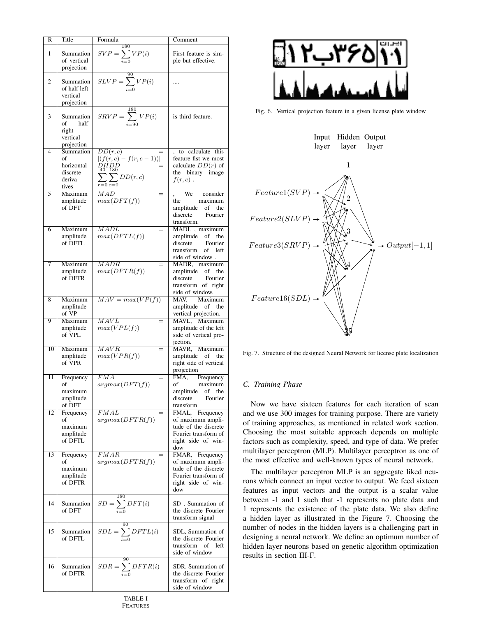| R              | Title                                                         | Formula                                                                                                                                                | Comment                                                                                                           |
|----------------|---------------------------------------------------------------|--------------------------------------------------------------------------------------------------------------------------------------------------------|-------------------------------------------------------------------------------------------------------------------|
| 1              | Summation<br>of vertical<br>projection                        | 180<br>$SVP = \sum_{i=0} VP(i)$                                                                                                                        | First feature is sim-<br>ple but effective.                                                                       |
| $\overline{2}$ | Summation<br>of half left<br>vertical<br>projection           | $SLVP = \sum_{i=0}^{90} VP(i)$                                                                                                                         |                                                                                                                   |
| 3              | Summation<br>of<br>half<br>right<br>vertical<br>projection    | $SRVP = \sum_{i=90}^{\infty} VP(i)$                                                                                                                    | is third feature.                                                                                                 |
| 4              | Summation<br>of<br>horizontal<br>discrete<br>deriva-<br>tives | DD(r, c)<br>$ (f(r, c) - f(r, c - 1)) $<br>DHDD<br>$\!\!\!=\!\!\!$<br>40 180<br>$\sum\limits_{i}\sum\limits_{j}DD(r,c)$<br>$r = 0 \, \overline{c} = 0$ | to calculate this<br>feature fist we most<br>calculate $DD(r)$ of<br>the binary image<br>$f(r,c)$ .               |
| 5              | Maximum<br>amplitude<br>of DFT                                | MAD<br>max(DFT(f))                                                                                                                                     | We<br>consider<br>maximum<br>the<br>amplitude of<br>the<br>discrete<br>Fourier<br>transform.                      |
| 6              | Maximum<br>amplitude<br>of DFTL                               | $\it MADL$<br>max(DFTL(f))                                                                                                                             | MADL, maximum<br>amplitude of the<br>discrete<br>Fourier<br>transform<br>of left<br>side of window.               |
| 7              | Maximum<br>amplitude<br>of DFTR                               | MADR<br>max(DFTR(f))                                                                                                                                   | MADR, maximum<br>amplitude of<br>the<br>discrete<br>Fourier<br>transform of right<br>side of window.              |
| 8              | Maximum<br>amplitude<br>of VP                                 | $MAV = max(VP(f))$                                                                                                                                     | MAV, Maximum<br>amplitude of the<br>vertical projection.                                                          |
| 9              | Maximum<br>amplitude<br>of VPL                                | MAVL<br>max(VPL(f))                                                                                                                                    | MAVL, Maximum<br>amplitude of the left<br>side of vertical pro-<br>jection.                                       |
| 10             | Maximum<br>amplitude<br>of VPR                                | $\overline{MAVR}$<br>$=$<br>max(VPR(f))                                                                                                                | MAVR, Maximum<br>amplitude of the<br>right side of vertical<br>projection                                         |
| 11             | Frequency<br>of<br>maximum<br>amplitude<br>of DFT             | FMA<br>argmax(DFT(f))                                                                                                                                  | FMA, Frequency<br>of maximum<br>amplitude of the<br>discrete<br>Fourier<br>transform                              |
| 12             | Frequency<br>of<br>maximum<br>amplitude<br>of DFTL            | FMAL<br>argmax(DFTR(f))                                                                                                                                | FMAL, Frequency<br>of maximum ampli-<br>tude of the discrete<br>Fourier transform of<br>right side of win-<br>dow |
| 13             | Frequency<br>οf<br>maximum<br>amplitude<br>of DFTR            | $\overline{FMAR}$<br>argmax(DFTR(f))                                                                                                                   | FMAR, Frequency<br>of maximum ampli-<br>tude of the discrete<br>Fourier transform of<br>right side of win-<br>dow |
| 14             | Summation<br>of DFT                                           | $SD = \sum_{i=0}^{N} DFT(i)$                                                                                                                           | SD, Summation of<br>the discrete Fourier<br>transform signal                                                      |
| 15             | Summation<br>of DFTL                                          | $SDL = \sum_{i=0} DFTL(i)$                                                                                                                             | SDL, Summation of<br>the discrete Fourier<br>transform of<br>left<br>side of window                               |
| 16             | Summation<br>of DFTR                                          | $SDR = \sum_{i=0}^{30} DFTR(i)$                                                                                                                        | SDR, Summation of<br>the discrete Fourier<br>transform of right<br>side of window                                 |



Fig. 6. Vertical projection feature in a given license plate window



Fig. 7. Structure of the designed Neural Network for license plate localization

## *C. Training Phase*

Now we have sixteen features for each iteration of scan and we use 300 images for training purpose. There are variety of training approaches, as mentioned in related work section. Choosing the most suitable approach depends on multiple factors such as complexity, speed, and type of data. We prefer multilayer perceptron (MLP). Multilayer perceptron as one of the most effective and well-known types of neural network.

The multilayer perceptron MLP is an aggregate liked neurons which connect an input vector to output. We feed sixteen features as input vectors and the output is a scalar value between -1 and 1 such that -1 represents no plate data and 1 represents the existence of the plate data. We also define a hidden layer as illustrated in the Figure 7. Choosing the number of nodes in the hidden layers is a challenging part in designing a neural network. We define an optimum number of hidden layer neurons based on genetic algorithm optimization results in section III-F.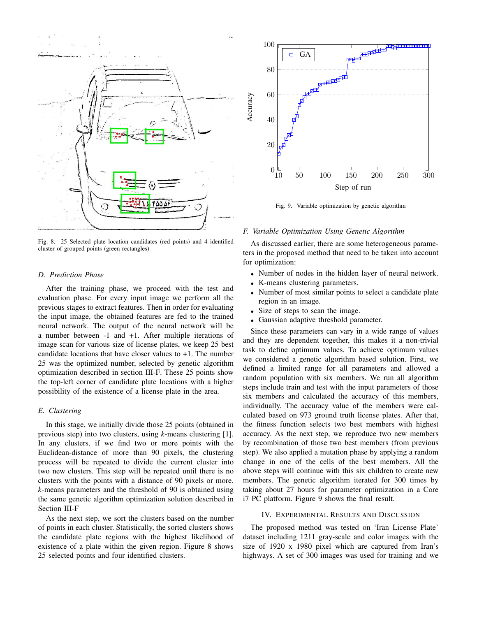

Fig. 8. 25 Selected plate location candidates (red points) and 4 identified cluster of grouped points (green rectangles)

### *D. Prediction Phase*

After the training phase, we proceed with the test and evaluation phase. For every input image we perform all the previous stages to extract features. Then in order for evaluating the input image, the obtained features are fed to the trained neural network. The output of the neural network will be a number between -1 and +1. After multiple iterations of image scan for various size of license plates, we keep 25 best candidate locations that have closer values to +1. The number 25 was the optimized number, selected by genetic algorithm optimization described in section III-F. These 25 points show the top-left corner of candidate plate locations with a higher possibility of the existence of a license plate in the area.

## *E. Clustering*

In this stage, we initially divide those 25 points (obtained in previous step) into two clusters, using *k*-means clustering [1]. In any clusters, if we find two or more points with the Euclidean-distance of more than 90 pixels, the clustering process will be repeated to divide the current cluster into two new clusters. This step will be repeated until there is no clusters with the points with a distance of 90 pixels or more. *k*-means parameters and the threshold of 90 is obtained using the same genetic algorithm optimization solution described in Section III-F

As the next step, we sort the clusters based on the number of points in each cluster. Statistically, the sorted clusters shows the candidate plate regions with the highest likelihood of existence of a plate within the given region. Figure 8 shows 25 selected points and four identified clusters.



Fig. 9. Variable optimization by genetic algorithm

### *F. Variable Optimization Using Genetic Algorithm*

As discussed earlier, there are some heterogeneous parameters in the proposed method that need to be taken into account for optimization:

- Number of nodes in the hidden layer of neural network.
- K-means clustering parameters.
- Number of most similar points to select a candidate plate region in an image.
- Size of steps to scan the image.
- Gaussian adaptive threshold parameter.

Since these parameters can vary in a wide range of values and they are dependent together, this makes it a non-trivial task to define optimum values. To achieve optimum values we considered a genetic algorithm based solution. First, we defined a limited range for all parameters and allowed a random population with six members. We run all algorithm steps include train and test with the input parameters of those six members and calculated the accuracy of this members, individually. The accuracy value of the members were calculated based on 973 ground truth license plates. After that, the fitness function selects two best members with highest accuracy. As the next step, we reproduce two new members by recombination of those two best members (from previous step). We also applied a mutation phase by applying a random change in one of the cells of the best members. All the above steps will continue with this six children to create new members. The genetic algorithm iterated for 300 times by taking about 27 hours for parameter optimization in a Core i7 PC platform. Figure 9 shows the final result.

## IV. EXPERIMENTAL RESULTS AND DISCUSSION

The proposed method was tested on 'Iran License Plate' dataset including 1211 gray-scale and color images with the size of 1920 x 1980 pixel which are captured from Iran's highways. A set of 300 images was used for training and we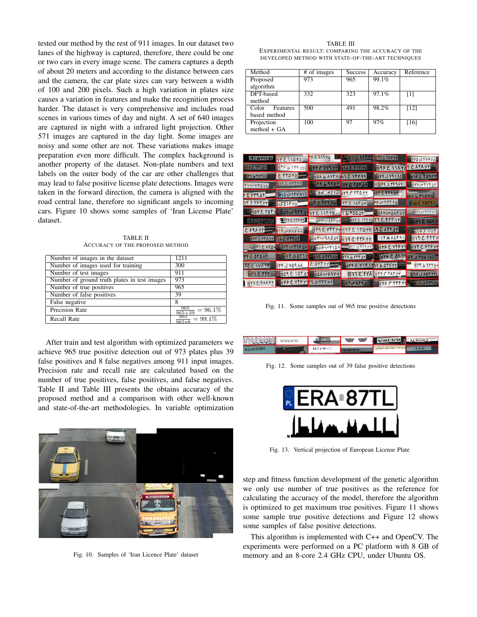tested our method by the rest of 911 images. In our dataset two lanes of the highway is captured, therefore, there could be one or two cars in every image scene. The camera captures a depth of about 20 meters and according to the distance between cars and the camera, the car plate sizes can vary between a width of 100 and 200 pixels. Such a high variation in plates size causes a variation in features and make the recognition process harder. The dataset is very comprehensive and includes road scenes in various times of day and night. A set of 640 images are captured in night with a infrared light projection. Other 571 images are captured in the day light. Some images are noisy and some other are not. These variations makes image preparation even more difficult. The complex background is another property of the dataset. Non-plate numbers and text labels on the outer body of the car are other challenges that may lead to false positive license plate detections. Images were taken in the forward direction, the camera is aligned with the road central lane, therefore no significant angels to incoming cars. Figure 10 shows some samples of 'Iran License Plate' dataset.

TABLE II ACCURACY OF THE PROPOSED METHOD

| Number of images in the dataset              | 1211                                  |
|----------------------------------------------|---------------------------------------|
| Number of images used for training           | 300                                   |
| Number of test images                        | 911                                   |
| Number of ground truth plates in test images | 973                                   |
| Number of true positives                     | 965                                   |
| Number of false positives                    | 39                                    |
| False negative                               | 8                                     |
| Precision Rate                               | $\frac{100}{965+39} = 96.1\%$         |
| Recall Rate                                  | $\frac{965}{250} = 99.1\%$<br>$965*8$ |

After train and test algorithm with optimized parameters we achieve 965 true positive detection out of 973 plates plus 39 false positives and 8 false negatives among 911 input images. Precision rate and recall rate are calculated based on the number of true positives, false positives, and false negatives. Table II and Table III presents the obtains accuracy of the proposed method and a comparison with other well-known and state-of-the-art methodologies. In variable optimization



Fig. 10. Samples of 'Iran Licence Plate' dataset

#### TABLE III EXPERIMENTAL RESULT: COMPARING THE ACCURACY OF THE DEVELOPED METHOD WITH STATE-OF-THE-ART TECHNIQUES

| Method            | # of images | <b>Success</b> | Accuracy | Reference         |
|-------------------|-------------|----------------|----------|-------------------|
| Proposed          | 973         | 965            | 99.1%    |                   |
| algorithm         |             |                |          |                   |
| DFT-based         | 332         | 323            | 97.1%    | $\lceil 1 \rceil$ |
| method            |             |                |          |                   |
| Color<br>Features | 500         | 491            | 98.2%    | [12]              |
| based method      |             |                |          |                   |
| Projection        | 100         | 97             | 97%      | [16]              |
| $method + GA$     |             |                |          |                   |

| TI A YYYAA                   | VYE 110 FO             | 79 ED19 FD             | <b>FUNNYE LITTE</b>   | <b>OMEYOTH</b>                           | <b>WAGTYSSA</b>          |
|------------------------------|------------------------|------------------------|-----------------------|------------------------------------------|--------------------------|
| <b>HEYEYYIOF</b>             | EFS B 1 F9 0           | TYY F YYAYT TILE YIYYE |                       | PRESIDENCATAVT                           |                          |
| <b>ETAL FYTSS</b>            | ETTO TO                | TON LAYT FONS C IFY 99 |                       | TY9 JY9190                               | <b>TITE TOKTT</b>        |
| FICYFOYD                     | TIY E ASY YY           | TY9695011 WYETAFAF     |                       | -199345999                               | <b>SYYU- TYF OT</b><br>F |
| <b>"EYT9OFL</b>              | <b>FPYPIOON B</b>      | 3 84 42110 79 P TTO YT |                       | OY E FYA OF                              | LYINEA                   |
| <b>IT 9 797 TT</b>           | <b>SGDIFFD</b>         | <b>ADPE STAN</b>       | <b>TYTE IAT OF</b>    | $990 + 4446$                             | <b>FILO E YOTAT</b>      |
| <b>ENTAY E YATY FLATU-97</b> | ľ۸                     | MY E 117 FO            | 69000                 | <b>AYO"OATAF</b>                         | 7110999955               |
|                              | : TYLE YYS FF          | TYSUAFYSF              |                       | TYYE ITY FOTTE FFY IT                    | FYI E ADAY               |
| ESANYT MUSAYSA               |                        |                        | FF9 EVFY FY ITE ITOTT | <b>ARE ATY OT</b>                        | FILE EIFYY               |
| TYPESYANT IN ESTROP          |                        | FATWARD TESTY FT       |                       | TO ADFAY                                 | 19E FFTY                 |
|                              | G 891 E Y909 1944-1965 |                        |                       | TASCYIDA TTO IFASE FFE VESTY TYPE STS VY |                          |
| <b>TFE AYAAT</b>             | ۵۲۱۶ ق ۷۴              | <b>19 2779 VD</b>      | <b>FALYFFOF</b>       | <b>HITTYS E ANY</b>                      | FF J TYA IF              |
| <b>MAE IYA IT</b>            | <b>AAPGYUTT</b>        | EDVTYY                 |                       | TFFE YIFITDY LOTY TY THE YF LAYYSS       |                          |
| <b>ESIETTAD</b>              | <b>AD9 E 10701</b>     | BAC-SAYAI              |                       | <b>BITEFYA TYPP TATTY</b>                | <b>FAY JADY FY</b>       |
| <b>TYYESAAFT</b>             | FFSEYFSYY 934445F      |                        |                       | Arcale Tips - The Water                  | <b>AYPTYC PIERT</b>      |

Fig. 11. Some samples out of 965 true positive detections

|  |      | <b>WILD</b><br><b>THIII</b> | VOLVO                    | <b>ALBORZ</b> |
|--|------|-----------------------------|--------------------------|---------------|
|  | HOWC |                             | <b>Class name alants</b> |               |

Fig. 12. Some samples out of 39 false positive detections



Fig. 13. Vertical projection of European License Plate

step and fitness function development of the genetic algorithm we only use number of true positives as the reference for calculating the accuracy of the model, therefore the algorithm is optimized to get maximum true positives. Figure 11 shows some sample true positive detections and Figure 12 shows some samples of false positive detections.

This algorithm is implemented with C++ and OpenCV. The experiments were performed on a PC platform with 8 GB of memory and an 8-core 2.4 GHz CPU, under Ubuntu OS.